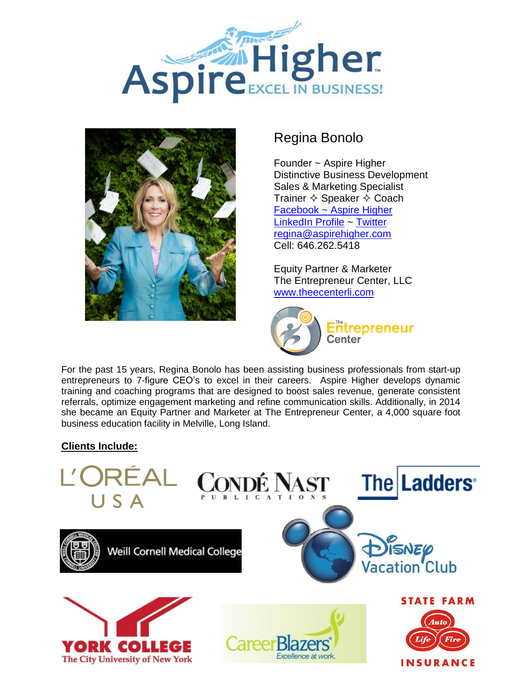



# Regina Bonolo

Founder ~ Aspire Higher Distinctive Business Development Sales & Marketing Specialist Trainer  $\diamond$  Speaker  $\diamond$  Coach [Facebook ~ Aspire Higher](https://www.facebook.com/pages/Aspire-Higher/100630949998742) [LinkedIn Profile](http://www.linkedin.com/in/reginabonolo/) ~ [Twitter](https://twitter.com/ReginaBonolo) [regina@aspirehigher.com](mailto:regina@aspirehigher.com) Cell: 646.262.5418

Equity Partner & Marketer The Entrepreneur Center, LLC [www.theecenterli.com](http://www.theecenterli.com/)



For the past 15 years, Regina Bonolo has been assisting business professionals from start-up entrepreneurs to 7-figure CEO's to excel in their careers. Aspire Higher develops dynamic training and coaching programs that are designed to boost sales revenue, generate consistent referrals, optimize engagement marketing and refine communication skills. Additionally, in 2014 she became an Equity Partner and Marketer at The Entrepreneur Center, a 4,000 square foot business education facility in Melville, Long Island.

# **Clients Include:**

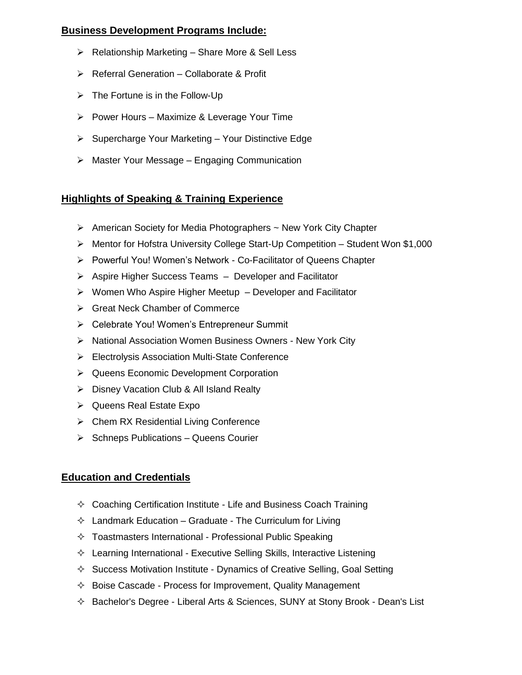# **Business Development Programs Include:**

- $\triangleright$  Relationship Marketing Share More & Sell Less
- $\triangleright$  Referral Generation Collaborate & Profit
- $\triangleright$  The Fortune is in the Follow-Up
- $\triangleright$  Power Hours Maximize & Leverage Your Time
- $\triangleright$  Supercharge Your Marketing Your Distinctive Edge
- $\triangleright$  Master Your Message Engaging Communication

# **Highlights of Speaking & Training Experience**

- $\triangleright$  American Society for Media Photographers  $\sim$  New York City Chapter
- $\triangleright$  Mentor for Hofstra University College Start-Up Competition Student Won \$1,000
- Powerful You! Women's Network Co-Facilitator of Queens Chapter
- $\triangleright$  Aspire Higher Success Teams  $-$  Developer and Facilitator
- $\triangleright$  Women Who Aspire Higher Meetup Developer and Facilitator
- Great Neck Chamber of Commerce
- Celebrate You! Women's Entrepreneur Summit
- > National Association Women Business Owners New York City
- Electrolysis Association Multi-State Conference
- **▶ Queens Economic Development Corporation**
- ▶ Disney Vacation Club & All Island Realty
- $\triangleright$  Queens Real Estate Expo
- $\triangleright$  Chem RX Residential Living Conference
- $\triangleright$  Schneps Publications Queens Courier

# **Education and Credentials**

- $\Diamond$  Coaching Certification Institute Life and Business Coach Training
- $\Diamond$  Landmark Education Graduate The Curriculum for Living
- $\Diamond$  Toastmasters International Professional Public Speaking
- $\Diamond$  Learning International Executive Selling Skills, Interactive Listening
- $\Diamond$  Success Motivation Institute Dynamics of Creative Selling, Goal Setting
- $\Diamond$  Boise Cascade Process for Improvement, Quality Management
- $\Diamond$  Bachelor's Degree Liberal Arts & Sciences, SUNY at Stony Brook Dean's List